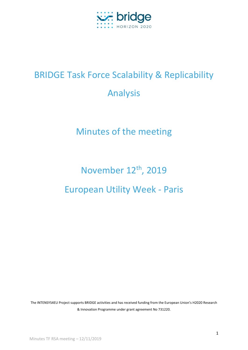

## BRIDGE Task Force Scalability & Replicability Analysis

## Minutes of the meeting

# November 12<sup>th</sup>, 2019 European Utility Week - Paris

The INTENSYS4EU Project supports BRIDGE activities and has received funding from the European Union's H2020 Research & Innovation Programme under grant agreement No 731220.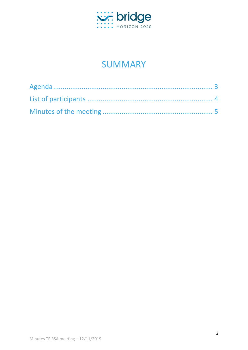

### **SUMMARY**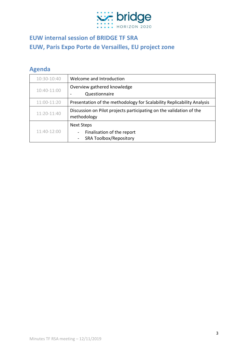

### **EUW internal session of BRIDGE TF SRA EUW, Paris Expo Porte de Versailles, EU project zone**

#### <span id="page-2-0"></span>**Agenda**

| 10:30-10:40   | Welcome and Introduction                                                                              |  |
|---------------|-------------------------------------------------------------------------------------------------------|--|
| 10:40-11:00   | Overview gathered knowledge                                                                           |  |
|               | Questionnaire                                                                                         |  |
| 11:00-11:20   | Presentation of the methodology for Scalability Replicability Analysis                                |  |
| $11:20-11:40$ | Discussion on Pilot projects participating on the validation of the<br>methodology                    |  |
| 11:40-12:00   | Next Steps<br>Finalisation of the report<br>$\overline{\phantom{a}}$<br><b>SRA Toolbox/Repository</b> |  |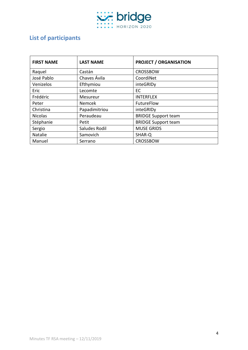

#### <span id="page-3-0"></span>**List of participants**

| <b>FIRST NAME</b> | <b>LAST NAME</b>                   | <b>PROJECT / ORGANISATION</b> |
|-------------------|------------------------------------|-------------------------------|
| Raquel            | Castán                             | <b>CROSSBOW</b>               |
| José Pablo        | Chaves Ávila                       | CoordiNet                     |
| Venizelos         | Efthymiou<br>inteGRIDy             |                               |
| Eric              | EC<br>Lecomte                      |                               |
| Frédéric          | <b>INTERFLEX</b><br>Mesureur       |                               |
| Peter             | Nemcek                             | FutureFlow                    |
| Christina         | Papadimitriou                      | inteGRIDy                     |
| <b>Nicolas</b>    | Peraudeau                          | <b>BRIDGE Support team</b>    |
| Stéphanie         | Petit                              | <b>BRIDGE Support team</b>    |
| Sergio            | <b>MUSE GRIDS</b><br>Saludes Rodil |                               |
| Natalie           | Samovich<br>SHAR-Q                 |                               |
| Manuel            | Serrano                            | <b>CROSSBOW</b>               |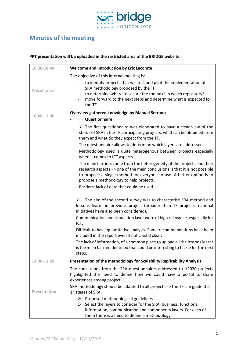

#### <span id="page-4-0"></span>**Minutes of the meeting**

#### **PPT presentation will be uploaded in the restricted area of the BRIDGE website.**

| 10:30-10:40  | <b>Welcome and Introduction by Eric Lecomte</b>                                                                                                                                                                                                                                                            |  |
|--------------|------------------------------------------------------------------------------------------------------------------------------------------------------------------------------------------------------------------------------------------------------------------------------------------------------------|--|
| Presentation | The objective of this internal meeting is:<br>to identify projects that will test and pilot the implementation of<br>SRA methodology proposed by the TF<br>to determine where to secure the toolbox? in which repository?<br>$\overline{\phantom{a}}$                                                      |  |
|              | move forward to the next steps and determine what is expected for<br>the TF                                                                                                                                                                                                                                |  |
| 10:40-11:00  | <b>Overview gathered knowledge by Manuel Serrano</b><br>Questionnaire                                                                                                                                                                                                                                      |  |
|              | $\triangleright$ The first questionnaire was elaborated to have a clear view of the<br>status of SRA in the TF participating projects, what can be obtained from<br>them and what do they expect from the TF.                                                                                              |  |
|              | The questionnaire allows to determine which layers are addressed.<br>Methodology used is quite heterogenous between projects especially                                                                                                                                                                    |  |
|              | when it comes to ICT aspects.<br>The main barriers come from the heterogeneity of the projects and their<br>research aspects => one of the main conclusions is that it is not possible<br>to propose a single method for everyone to use. A better option is to<br>propose a methodology to help projects. |  |
|              | Barriers: lack of data that could be used                                                                                                                                                                                                                                                                  |  |
|              | The aim of the second survey was to characterise SRA method and<br>➤<br>lessons learnt in previous project (broader than TF projects, national<br>initiatives have also been considered).                                                                                                                  |  |
|              | Communication and simulation layer were of high relevance, especially for<br>ICT.                                                                                                                                                                                                                          |  |
|              | Difficult to have quantitative analysis. Some recommendations have been<br>included in the report even if not crystal clear.                                                                                                                                                                               |  |
|              | The lack of information, of a common place to upload all the lessons learnt<br>is the main barrier identified that could be interesting to tackle for the next<br>steps.                                                                                                                                   |  |
| 11:00-11:20  | Presentation of the methodology for Scalability Replicability Analysis                                                                                                                                                                                                                                     |  |
|              | The conclusions from the SRA questionnaires addressed to H2020 projects<br>highlighted the need to define how we could have a portal to share<br>experiences among project.                                                                                                                                |  |
| Presentation | SRA methodology should be adapted to all projects => the TF can guide the<br>$1st$ stages of SRA.                                                                                                                                                                                                          |  |
|              | Proposed methodological guidelines<br>➤<br>1- Select the layers to consider for the SRA: business, functions,<br>information, communication and components layers. For each of<br>them there is a need to define a methodology                                                                             |  |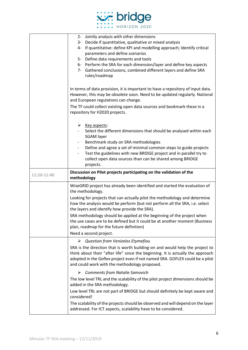

|             | 2- Jointly analysis with other dimensions<br>3- Decide if quantitative, qualitative or mixed analysis<br>4- If quantitative: define KPI and modelling approach; Identify critical<br>parameters and define scenarios<br>5- Define data requirements and tools<br>6- Perform the SRA for each dimension/layer and define key aspects<br>7- Gathered conclusions, combined different layers and define SRA<br>rules/roadmap<br>In terms of data provision, it is important to have a repository of input data.<br>However, this may be obsolete soon. Need to be updated regularly. National |
|-------------|--------------------------------------------------------------------------------------------------------------------------------------------------------------------------------------------------------------------------------------------------------------------------------------------------------------------------------------------------------------------------------------------------------------------------------------------------------------------------------------------------------------------------------------------------------------------------------------------|
|             | and European regulations can change.<br>The TF could collect existing open data sources and bookmark these in a<br>repository for H2020 projects.                                                                                                                                                                                                                                                                                                                                                                                                                                          |
|             | $\triangleright$ Key aspects:<br>Select the different dimensions that should be analysed within each<br><b>SGAM layer</b><br>Benchmark study on SRA methodologies<br>Define and agree a set of minimal common steps to guide projects<br>Test the guidelines with new BRIDGE project and in parallel try to<br>collect open data sources than can be shared among BRIDGE<br>projects.                                                                                                                                                                                                      |
| 11:20-11:40 | Discussion on Pilot projects participating on the validation of the<br>methodology                                                                                                                                                                                                                                                                                                                                                                                                                                                                                                         |
|             | WiseGRID project has already been identified and started the evaluation of<br>the methodology.<br>Looking for projects that can actually pilot the methodology and determine                                                                                                                                                                                                                                                                                                                                                                                                               |
|             | how the analysis would be perform (but not perform all the SRA, i.e. select<br>the layers and identify how provide the SRA).                                                                                                                                                                                                                                                                                                                                                                                                                                                               |
|             | SRA methodology should be applied at the beginning of the project when<br>the use cases are to be defined but it could be at another moment (Business<br>plan, roadmap for the future definition)<br>Need a second project.                                                                                                                                                                                                                                                                                                                                                                |
|             | $\triangleright$ Question from Venizelos Etymefiou<br>SRA is the direction that is worth building-on and would help the project to<br>think about their "after life" since the beginning. It is actually the approach<br>adopted in the Goflex project even if not named SRA. GOFLEX could be a pilot<br>and could work with the methodology proposed.                                                                                                                                                                                                                                     |
|             | $\triangleright$ Comments from Natalie Samovich<br>The low level TRL and the scalability of the pilot project dimensions should be<br>added in the SRA methodology.                                                                                                                                                                                                                                                                                                                                                                                                                        |
|             | Low level TRL are not part of BRIDGE but should definitely be kept aware and<br>considered!                                                                                                                                                                                                                                                                                                                                                                                                                                                                                                |
|             | The scalability of the projects should be observed and will depend on the layer<br>addressed. For ICT aspects, scalability have to be considered.                                                                                                                                                                                                                                                                                                                                                                                                                                          |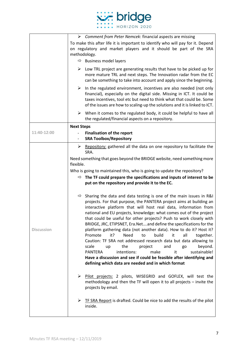

|                   | $\triangleright$ Comment from Peter Nemcek: financial aspects are missing                                                                                                                                                                                                                                             |  |  |
|-------------------|-----------------------------------------------------------------------------------------------------------------------------------------------------------------------------------------------------------------------------------------------------------------------------------------------------------------------|--|--|
|                   | To make this after life it is important to identify who will pay for it. Depend                                                                                                                                                                                                                                       |  |  |
|                   | on regulatory and market players and it should be part of the SRA                                                                                                                                                                                                                                                     |  |  |
|                   | methodology.                                                                                                                                                                                                                                                                                                          |  |  |
|                   | $\Rightarrow$ Business model layers                                                                                                                                                                                                                                                                                   |  |  |
|                   | $\triangleright$ Low TRL project are generating results that have to be picked up for<br>more mature TRL and next steps. The Innovation radar from the EC<br>can be something to take into account and apply since the beginning.                                                                                     |  |  |
|                   | $\triangleright$ In the regulated environment, incentives are also needed (not only<br>financial), especially on the digital side. Missing in ICT. It could be<br>taxes incentives, tool etc but need to think what that could be. Some<br>of the issues are how to scaling-up the solutions and it is linked to ICT. |  |  |
|                   | $\triangleright$ When it comes to the regulated body, it could be helpful to have all<br>the regulated/financial aspects on a repository.                                                                                                                                                                             |  |  |
|                   | <b>Next Steps</b>                                                                                                                                                                                                                                                                                                     |  |  |
| 11:40-12:00       | <b>Finalisation of the report</b>                                                                                                                                                                                                                                                                                     |  |  |
|                   | <b>SRA Toolbox/Repository</b><br>$\overline{\phantom{a}}$                                                                                                                                                                                                                                                             |  |  |
|                   | Repository: gathered all the data on one repository to facilitate the<br>≻                                                                                                                                                                                                                                            |  |  |
|                   | SRA.                                                                                                                                                                                                                                                                                                                  |  |  |
|                   | Need something that goes beyond the BRIDGE website, need something more<br>flexible.                                                                                                                                                                                                                                  |  |  |
|                   | Who is going to maintained this, who is going to update the repository?                                                                                                                                                                                                                                               |  |  |
|                   | $\Rightarrow$ The TF could prepare the specifications and inputs of interest to be                                                                                                                                                                                                                                    |  |  |
|                   | put on the repository and provide it to the EC.                                                                                                                                                                                                                                                                       |  |  |
|                   |                                                                                                                                                                                                                                                                                                                       |  |  |
|                   | $\Rightarrow$ Sharing the data and data testing is one of the main issues in R&I                                                                                                                                                                                                                                      |  |  |
|                   | projects. For that purpose, the PANTERA project aims at building an                                                                                                                                                                                                                                                   |  |  |
|                   | interactive platform that will host real data, information from                                                                                                                                                                                                                                                       |  |  |
|                   | national and EU projects, knowledge: what comes out of the project<br>that could be useful for other projects? Push to work closely with                                                                                                                                                                              |  |  |
|                   | BRIDGE, JRC, ETIPSNET, Era.Netand define the specifications for the                                                                                                                                                                                                                                                   |  |  |
| <b>Discussion</b> | platform gathering data (not another data). How to do it? Host it?                                                                                                                                                                                                                                                    |  |  |
|                   | it?<br>Need<br>build<br>all<br>Promote<br>to<br>it<br>together.                                                                                                                                                                                                                                                       |  |  |
|                   | Caution: TF SRA not addressed research data but data allowing to                                                                                                                                                                                                                                                      |  |  |
|                   | scale<br>the<br>and<br>beyond.<br>project<br>go<br>up<br>it<br>sustainable!<br><b>PANTERA</b><br>intentions:<br>make                                                                                                                                                                                                  |  |  |
|                   | Have a discussion and see if could be feasible after identifying and                                                                                                                                                                                                                                                  |  |  |
|                   | defining which data are needed and in which format                                                                                                                                                                                                                                                                    |  |  |
|                   |                                                                                                                                                                                                                                                                                                                       |  |  |
|                   | Pilot projects: 2 pilots, WISEGRID and GOFLEX, will test the<br>➤<br>methodology and then the TF will open it to all projects - invite the                                                                                                                                                                            |  |  |
|                   | projects by email.                                                                                                                                                                                                                                                                                                    |  |  |
|                   | TF SRA Report is drafted. Could be nice to add the results of the pilot<br>➤                                                                                                                                                                                                                                          |  |  |
|                   | inside.                                                                                                                                                                                                                                                                                                               |  |  |